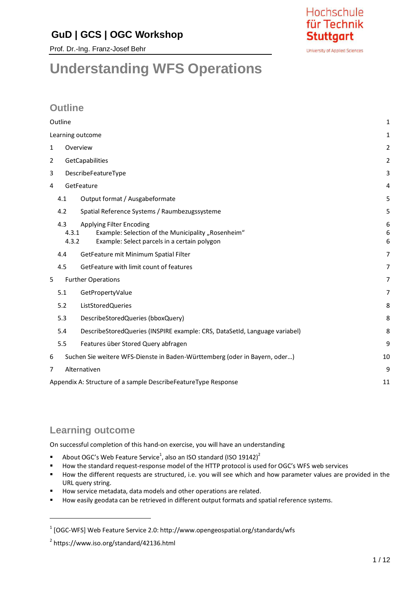# **GuD | GCS | OGC Workshop**

Prof. Dr.-Ing. Franz-Josef Behr



University of Applied Sciences

# **Understanding WFS Operations**

# **Outline**

| Outline                                                                                                                                                 | 1              |
|---------------------------------------------------------------------------------------------------------------------------------------------------------|----------------|
| Learning outcome                                                                                                                                        | 1              |
| 1<br>Overview                                                                                                                                           | 2              |
| GetCapabilities<br>2                                                                                                                                    | $\overline{2}$ |
| DescribeFeatureType<br>3                                                                                                                                | 3              |
| GetFeature<br>4                                                                                                                                         | 4              |
| Output format / Ausgabeformate<br>4.1                                                                                                                   | 5              |
| Spatial Reference Systems / Raumbezugssysteme<br>4.2                                                                                                    | 5              |
| 4.3<br>Applying Filter Encoding<br>Example: Selection of the Municipality "Rosenheim"<br>4.3.1<br>4.3.2<br>Example: Select parcels in a certain polygon | 6<br>6<br>6    |
| GetFeature mit Minimum Spatial Filter<br>4.4                                                                                                            | 7              |
| GetFeature with limit count of features<br>4.5                                                                                                          | 7              |
| <b>Further Operations</b><br>5                                                                                                                          | 7              |
| 5.1<br>GetPropertyValue                                                                                                                                 | $\overline{7}$ |
| ListStoredQueries<br>5.2                                                                                                                                | 8              |
| DescribeStoredQueries (bboxQuery)<br>5.3                                                                                                                | 8              |
| DescribeStoredQueries (INSPIRE example: CRS, DataSetId, Language variabel)<br>5.4                                                                       | 8              |
| 5.5<br>Features über Stored Query abfragen                                                                                                              | 9              |
| Suchen Sie weitere WFS-Dienste in Baden-Württemberg (oder in Bayern, oder)<br>6                                                                         | 10             |
| Alternativen<br>7                                                                                                                                       | 9              |
| Appendix A: Structure of a sample DescribeFeatureType Response                                                                                          | 11             |

# **Learning outcome**

 $\overline{a}$ 

On successful completion of this hand-on exercise, you will have an understanding

- About OGC's Web Feature Service<sup>1</sup>, also an ISO standard (ISO 19142)<sup>2</sup>
- How the standard request-response model of the HTTP protocol is used for OGC's WFS web services
- How the different requests are structured, i.e. you will see which and how parameter values are provided in the URL query string.
- How service metadata, data models and other operations are related.
- **How easily geodata can be retrieved in different output formats and spatial reference systems.**

<sup>&</sup>lt;sup>1</sup> [OGC-WFS] Web Feature Service 2.0: http://www.opengeospatial.org/standards/wfs

<sup>2</sup> https://www.iso.org/standard/42136.html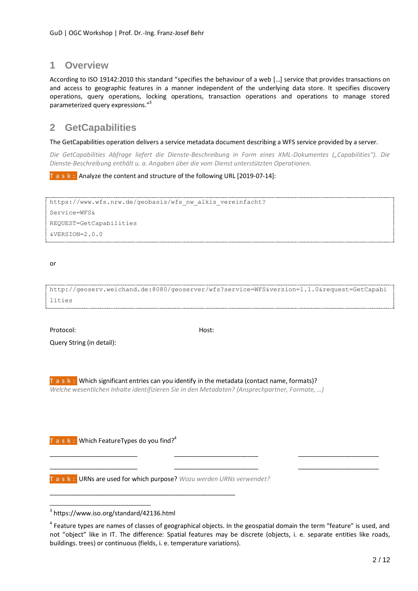# **1 Overview**

According to ISO 19142:2010 this standard "specifies the behaviour of a web […] service that provides transactions on and access to geographic features in a manner independent of the underlying data store. It specifies discovery operations, query operations, locking operations, transaction operations and operations to manage stored parameterized query expressions." 3

# **2 GetCapabilities**

The GetCapabilities operation delivers a service metadata document describing a WFS service provided by a server.

*Die GetCapabilities Abfrage liefert die Dienste-Beschreibung in Form eines XML-Dokumentes ("Capabilities"). Die Dienste-Beschreibung enthält u. a. Angaben über die vom Dienst unterstützten Operationen.*

**T a s k :** Analyze the content and structure of the following URL [2019-07-14]:

```
https://www.wfs.nrw.de/geobasis/wfs_nw_alkis_vereinfacht?
Service=WFS&
REQUEST=GetCapabilities
&VERSION=2.0.0
```
or

http://geoserv.weichand.de:8080/geoserver/wfs?service=WFS&version=1.1.0&request=GetCapabi lities

Protocol: Nost: Nost: Nost: Nost: Nost: Nost: Nost: Nost: Nost: Nost: Nost: Nost: Nost: Nost: Nost: Nost: Nost

 $\overline{a}$ 

Query String (in detail):

**T a s k :** Which significant entries can you identify in the metadata (contact name, formats)? *Welche wesentlichen Inhalte identifizieren Sie in den Metadaten? (Ansprechpartner, Formate, …)*

**T a s k :** Which FeatureTypes do you find? 4

**T a s k :** URNs are used for which purpose? *Wozu werden URNs verwendet?*

\_\_\_\_\_\_\_\_\_\_\_\_\_\_\_\_\_\_\_\_\_\_\_\_\_\_\_\_\_\_\_\_\_\_\_\_\_\_\_\_\_\_\_\_\_\_\_\_\_\_\_\_\_

\_\_\_\_\_\_\_\_\_\_\_\_\_\_\_\_\_\_\_\_\_\_\_\_\_ \_\_\_\_\_\_\_\_\_\_\_\_\_\_\_\_\_\_\_\_\_\_\_\_ \_\_\_\_\_\_\_\_\_\_\_\_\_\_\_\_\_\_\_\_\_\_\_ \_\_\_\_\_\_\_\_\_\_\_\_\_\_\_\_\_\_\_\_\_\_\_\_\_ \_\_\_\_\_\_\_\_\_\_\_\_\_\_\_\_\_\_\_\_\_\_\_\_ \_\_\_\_\_\_\_\_\_\_\_\_\_\_\_\_\_\_\_\_\_\_\_

<sup>3</sup> https://www.iso.org/standard/42136.html

<sup>&</sup>lt;sup>4</sup> Feature types are names of classes of geographical objects. In the geospatial domain the term "feature" is used, and not "object" like in IT. The difference: Spatial features may be discrete (objects, i. e. separate entities like roads, buildings. trees) or continuous (fields, i. e. temperature variations).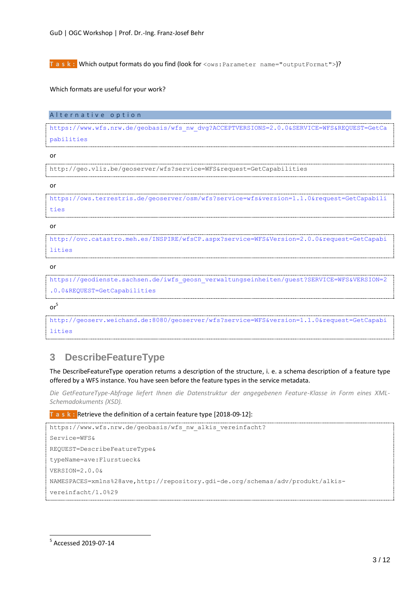**T a s k :** Which output formats do you find (look for <ows: Parameter name="outputFormat">)?

Which formats are useful for your work?

Alternative option

[https://www.wfs.nrw.de/geobasis/wfs\\_nw\\_dvg?ACCEPTVERSIONS=2.0.0&SERVICE=WFS&REQUEST=GetCa](https://www.wfs.nrw.de/geobasis/wfs_nw_dvg?ACCEPTVERSIONS=2.0.0&SERVICE=WFS&REQUEST=GetCapabilities) [pabilities](https://www.wfs.nrw.de/geobasis/wfs_nw_dvg?ACCEPTVERSIONS=2.0.0&SERVICE=WFS&REQUEST=GetCapabilities)

or

http://geo.vliz.be/geoserver/wfs?service=WFS&request=GetCapabilities

or

[https://ows.terrestris.de/geoserver/osm/wfs?service=wfs&version=1.1.0&request=GetCapabili](https://ows.terrestris.de/geoserver/osm/wfs?service=wfs&version=1.1.0&request=GetCapabilities) [ties](https://ows.terrestris.de/geoserver/osm/wfs?service=wfs&version=1.1.0&request=GetCapabilities)

#### or

[http://ovc.catastro.meh.es/INSPIRE/wfsCP.aspx?service=WFS&Version=2.0.0&request=GetCapabi](http://ovc.catastro.meh.es/INSPIRE/wfsCP.aspx?service=WFS&Version=2.0.0&request=GetCapabilities) [lities](http://ovc.catastro.meh.es/INSPIRE/wfsCP.aspx?service=WFS&Version=2.0.0&request=GetCapabilities)

or

[https://geodienste.sachsen.de/iwfs\\_geosn\\_verwaltungseinheiten/guest?SERVICE=WFS&VERSION=2](https://geodienste.sachsen.de/iwfs_geosn_verwaltungseinheiten/guest?SERVICE=WFS&VERSION=2.0.0&REQUEST=GetCapabilities) [.0.0&REQUEST=GetCapabilities](https://geodienste.sachsen.de/iwfs_geosn_verwaltungseinheiten/guest?SERVICE=WFS&VERSION=2.0.0&REQUEST=GetCapabilities)

or 5

http://geoserv.weichand.de:8080/geoserver/wfs?service=WFS&version=1.1.0&request=GetCapabi lities

# **3 DescribeFeatureType**

The DescribeFeatureType operation returns a description of the structure, i. e. a schema description of a feature type offered by a WFS instance. You have seen before the feature types in the service metadata.

*Die GetFeatureType-Abfrage liefert Ihnen die Datenstruktur der angegebenen Feature-Klasse in Form eines XML-Schemadokuments (XSD).*

**T a s k :** Retrieve the definition of a certain feature type [2018-09-12]:

```
https://www.wfs.nrw.de/geobasis/wfs_nw_alkis_vereinfacht?
Service=WFS&
REQUEST=DescribeFeatureType&
typeName=ave:Flurstueck&
VERSION=2.0.0&
NAMESPACES=xmlns%28ave,http://repository.gdi-de.org/schemas/adv/produkt/alkis-
vereinfacht/1.0%29
```
 $\overline{a}$ 

<sup>5</sup> Accessed 2019-07-14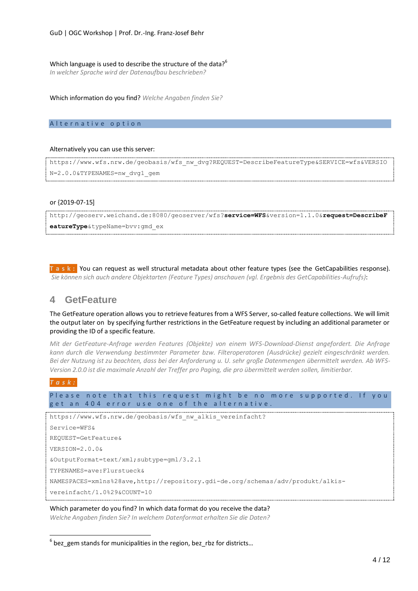Which language is used to describe the structure of the data?<sup>6</sup> *In welcher Sprache wird der Datenaufbau beschrieben?*

Which information do you find? *Welche Angaben finden Sie?*

#### Alternative option

#### Alternatively you can use this server:

```
https://www.wfs.nrw.de/geobasis/wfs_nw_dvg?REQUEST=DescribeFeatureType&SERVICE=wfs&VERSIO
N=2.0.0&TYPENAMES=nw_dvg1_gem
```
#### or {2019-07-15]

http://geoserv.weichand.de:8080/geoserver/wfs?**service=WFS**&version=1.1.0&**request=DescribeF eatureType**&typeName=bvv:gmd\_ex

**T a s k :** You can request as well structural metadata about other feature types (see the GetCapabilities response). *Sie können sich auch andere Objektarten (Feature Types) anschauen (vgl. Ergebnis des GetCapabilities-Aufrufs)*:

# **4 GetFeature**

The GetFeature operation allows you to retrieve features from a WFS Server, so-called feature collections. We will limit the output later on by specifying further restrictions in the GetFeature request by including an additional parameter or providing the ID of a specific feature.

*Mit der GetFeature-Anfrage werden Features (Objekte) von einem WFS-Download-Dienst angefordert. Die Anfrage kann durch die Verwendung bestimmter Parameter bzw. Filteroperatoren (Ausdrücke) gezielt eingeschränkt werden. Bei der Nutzung ist zu beachten, dass bei der Anforderung u. U. sehr große Datenmengen übermittelt werden. Ab WFS-Version 2.0.0 ist die maximale Anzahl der Treffer pro Paging, die pro übermittelt werden sollen, limitierbar.*

#### *T a s k :*

 $\overline{a}$ 

Please note that this request might be no more supported. If you get an 404 error use one of the alternative.

https://www.wfs.nrw.de/geobasis/wfs\_nw\_alkis\_vereinfacht?

```
Service=WFS&
REQUEST=GetFeature&
VERSION=2.0.0&
&OutputFormat=text/xml;subtype=gml/3.2.1
TYPENAMES=ave:Flurstueck&
NAMESPACES=xmlns%28ave,http://repository.gdi-de.org/schemas/adv/produkt/alkis-
vereinfacht/1.0%29&COUNT=10
```
#### Which parameter do you find? In which data format do you receive the data?

*Welche Angaben finden Sie? In welchem Datenformat erhalten Sie die Daten?*

 $^6$  bez\_gem stands for municipalities in the region, bez\_rbz for districts...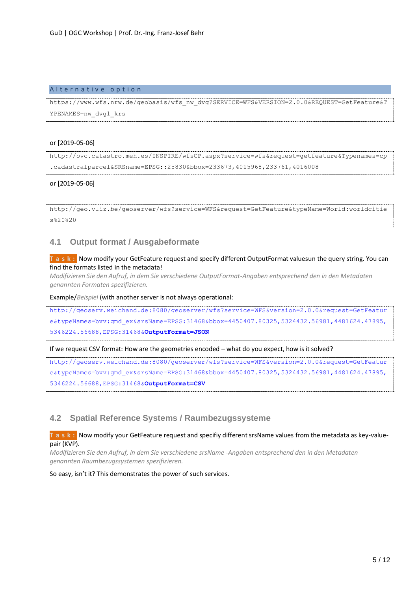#### Alternative option

https://www.wfs.nrw.de/geobasis/wfs\_nw\_dvg?SERVICE=WFS&VERSION=2.0.0&REQUEST=GetFeature&T YPENAMES=nw\_dvg1\_krs

#### or [2019-05-06]

http://ovc.catastro.meh.es/INSPIRE/wfsCP.aspx?service=wfs&request=getfeature&Typenames=cp .cadastralparcel&SRSname=EPSG::25830&bbox=233673,4015968,233761,4016008

#### or [2019-05-06]

```
http://geo.vliz.be/geoserver/wfs?service=WFS&request=GetFeature&typeName=World:worldcitie
s%20%20
```
### **4.1 Output format / Ausgabeformate**

**T a s k :** Now modify your GetFeature request and specify different OutputFormat valuesun the query string. You can find the formats listed in the metadata!

*Modifizieren Sie den Aufruf, in dem Sie verschiedene OutputFormat-Angaben entsprechend den in den Metadaten genannten Formaten spezifizieren.*

Example/*Beispiel* (with another server is not always operational:

[http://geoserv.weichand.de:8080/geoserver/wfs?service=WFS&version=2.0.0&request=GetFeatur](http://geoserv.weichand.de:8080/geoserver/wfs?service=WFS&version=2.0.0&request=GetFeature&typeNames=bvv:gmd_ex&srsName=EPSG:31468&bbox=4450407.80325,5324432.56981,4481624.47895,5346224.56688,EPSG:31468&OutputFormat=JSON) [e&typeNames=bvv:gmd\\_ex&srsName=EPSG:31468&bbox=4450407.80325,5324432.56981,4481624.47895,](http://geoserv.weichand.de:8080/geoserver/wfs?service=WFS&version=2.0.0&request=GetFeature&typeNames=bvv:gmd_ex&srsName=EPSG:31468&bbox=4450407.80325,5324432.56981,4481624.47895,5346224.56688,EPSG:31468&OutputFormat=JSON) [5346224.56688,EPSG:31468&](http://geoserv.weichand.de:8080/geoserver/wfs?service=WFS&version=2.0.0&request=GetFeature&typeNames=bvv:gmd_ex&srsName=EPSG:31468&bbox=4450407.80325,5324432.56981,4481624.47895,5346224.56688,EPSG:31468&OutputFormat=JSON)**OutputFormat=JSON**

#### If we request CSV format: How are the geometries encoded – what do you expect, how is it solved?

[http://geoserv.weichand.de:8080/geoserver/wfs?service=WFS&version=2.0.0&request=GetFeatur](http://geoserv.weichand.de:8080/geoserver/wfs?service=WFS&version=2.0.0&request=GetFeature&typeNames=bvv:gmd_ex&srsName=EPSG:31468&bbox=4450407.80325,5324432.56981,4481624.47895,5346224.56688,EPSG:31468&OutputFormat=CSV) [e&typeNames=bvv:gmd\\_ex&srsName=EPSG:31468&bbox=4450407.80325,5324432.56981,4481624.47895,](http://geoserv.weichand.de:8080/geoserver/wfs?service=WFS&version=2.0.0&request=GetFeature&typeNames=bvv:gmd_ex&srsName=EPSG:31468&bbox=4450407.80325,5324432.56981,4481624.47895,5346224.56688,EPSG:31468&OutputFormat=CSV) [5346224.56688,EPSG:31468&](http://geoserv.weichand.de:8080/geoserver/wfs?service=WFS&version=2.0.0&request=GetFeature&typeNames=bvv:gmd_ex&srsName=EPSG:31468&bbox=4450407.80325,5324432.56981,4481624.47895,5346224.56688,EPSG:31468&OutputFormat=CSV)**OutputFormat=CSV**

### **4.2 Spatial Reference Systems / Raumbezugssysteme**

**T a s k :** Now modify your GetFeature request and specifiy different srsName values from the metadata as key-valuepair (KVP).

*Modifizieren Sie den Aufruf, in dem Sie verschiedene srsName -Angaben entsprechend den in den Metadaten genannten Raumbezugssystemen spezifizieren.*

So easy, isn't it? This demonstrates the power of such services.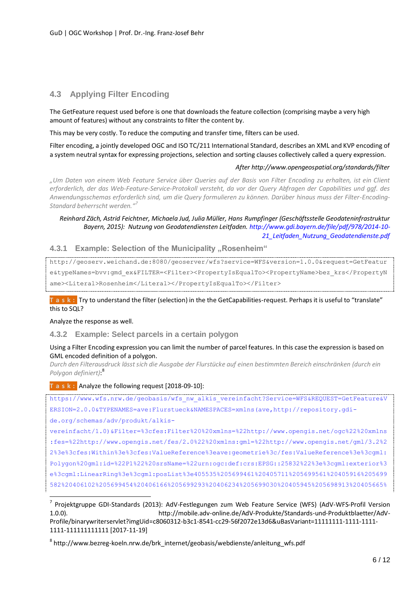# **4.3 Applying Filter Encoding**

The GetFeature request used before is one that downloads the feature collection (comprising maybe a very high amount of features) without any constraints to filter the content by.

This may be very costly. To reduce the computing and transfer time, filters can be used.

Filter encoding, a jointly developed OGC and ISO TC/211 International Standard, describes an XML and KVP encoding of a system neutral syntax for expressing projections, selection and sorting clauses collectively called a query expression.

#### *After http://www.opengeospatial.org/standards/filter*

*"Um Daten von einem Web Feature Service über Queries auf der Basis von Filter Encoding zu erhalten, ist ein Client erforderlich, der das Web-Feature-Service-Protokoll versteht, da vor der Query Abfragen der Capabilities und ggf. des Anwendungsschemas erforderlich sind, um die Query formulieren zu können. Darüber hinaus muss der Filter-Encoding-Standard beherrscht werden." 7*

#### *Reinhard Zäch, Astrid Feichtner, Michaela Jud, Julia Müller, Hans Rumpfinger (Geschäftsstelle Geodateninfrastruktur Bayern, 2015): Nutzung von Geodatendiensten Leitfaden[. http://www.gdi.bayern.de/file/pdf/978/2014-10-](http://www.gdi.bayern.de/file/pdf/978/2014-10-21_Leitfaden_Nutzung_Geodatendienste.pdf) [21\\_Leitfaden\\_Nutzung\\_Geodatendienste.pdf](http://www.gdi.bayern.de/file/pdf/978/2014-10-21_Leitfaden_Nutzung_Geodatendienste.pdf)*

#### **4.3.1 Example: Selection of the Municipality "Rosenheim"**

http://geoserv.weichand.de:8080/geoserver/wfs?service=WFS&version=1.0.0&request=GetFeatur e&typeNames=bvv:gmd\_ex&FILTER=<Filter><PropertyIsEqualTo><PropertyName>bez\_krs</PropertyN ame><Literal>Rosenheim</Literal></PropertyIsEqualTo></Filter>

**T a s k :** Try to understand the filter (selection) in the the GetCapabilities-request. Perhaps it is useful to "translate" this to SQL?

Analyze the response as well.

 $\overline{a}$ 

**4.3.2 Example: Select parcels in a certain polygon**

#### Using a Filter Encoding expression you can limit the number of parcel features. In this case the expression is based on GML encoded definition of a polygon.

*Durch den Filterausdruck lässt sich die Ausgabe der Flurstücke auf einen bestimmten Bereich einschränken (durch ein Polygon definiert)*: 8

**T a s k :** Analyze the following request [2018-09-10]:

[https://www.wfs.nrw.de/geobasis/wfs\\_nw\\_alkis\\_vereinfacht?Service=WFS&REQUEST=GetFeature&V](https://www.wfs.nrw.de/geobasis/wfs_nw_alkis_vereinfacht?Service=WFS&REQUEST=GetFeature&VERSION=2.0.0&TYPENAMES=ave:Flurstueck&NAMESPACES=xmlns(ave,http://repository.gdi-de.org/schemas/adv/produkt/alkis-vereinfacht/1.0)&Filter=%3cfes:Filter%20%20xmlns=%22http://www.opengis.net/ogc%22%20xmlns:fes=%22http://www.opengis.net/fes/2.0%22%20xmlns:gml=%22http://www.opengis.net/gml/3.2%22%3e%3cfes:Within%3e%3cfes:ValueReference%3eave:geometrie%3c/fes:ValueReference%3e%3cgml:Polygon%20gml:id=%22P1%22%20srsName=%22urn:ogc:def:crs:EPSG::25832%22%3e%3cgml:exterior%3e%3cgml:LinearRing%3e%3cgml:posList%3e405535%205699461%20405711%205699561%20405916%205699582%20406102%205699454%20406166%205699293%20406234%205699030%20405945%205698913%20405665%205698985%20405506%205699048%20405462%205699253%20405461%205699257%20405535%205699461%3c/gml:posList%3e%3c/gml:LinearRing%3e%3c/gml:exterior%3e%3c/gml:Polygon%3e%3c/fes:Within%3e%3c/fes:Filter%3e) [ERSION=2.0.0&TYPENAMES=ave:Flurstueck&NAMESPACES=xmlns\(ave,http://repository.gdi](https://www.wfs.nrw.de/geobasis/wfs_nw_alkis_vereinfacht?Service=WFS&REQUEST=GetFeature&VERSION=2.0.0&TYPENAMES=ave:Flurstueck&NAMESPACES=xmlns(ave,http://repository.gdi-de.org/schemas/adv/produkt/alkis-vereinfacht/1.0)&Filter=%3cfes:Filter%20%20xmlns=%22http://www.opengis.net/ogc%22%20xmlns:fes=%22http://www.opengis.net/fes/2.0%22%20xmlns:gml=%22http://www.opengis.net/gml/3.2%22%3e%3cfes:Within%3e%3cfes:ValueReference%3eave:geometrie%3c/fes:ValueReference%3e%3cgml:Polygon%20gml:id=%22P1%22%20srsName=%22urn:ogc:def:crs:EPSG::25832%22%3e%3cgml:exterior%3e%3cgml:LinearRing%3e%3cgml:posList%3e405535%205699461%20405711%205699561%20405916%205699582%20406102%205699454%20406166%205699293%20406234%205699030%20405945%205698913%20405665%205698985%20405506%205699048%20405462%205699253%20405461%205699257%20405535%205699461%3c/gml:posList%3e%3c/gml:LinearRing%3e%3c/gml:exterior%3e%3c/gml:Polygon%3e%3c/fes:Within%3e%3c/fes:Filter%3e)[de.org/schemas/adv/produkt/alkis](https://www.wfs.nrw.de/geobasis/wfs_nw_alkis_vereinfacht?Service=WFS&REQUEST=GetFeature&VERSION=2.0.0&TYPENAMES=ave:Flurstueck&NAMESPACES=xmlns(ave,http://repository.gdi-de.org/schemas/adv/produkt/alkis-vereinfacht/1.0)&Filter=%3cfes:Filter%20%20xmlns=%22http://www.opengis.net/ogc%22%20xmlns:fes=%22http://www.opengis.net/fes/2.0%22%20xmlns:gml=%22http://www.opengis.net/gml/3.2%22%3e%3cfes:Within%3e%3cfes:ValueReference%3eave:geometrie%3c/fes:ValueReference%3e%3cgml:Polygon%20gml:id=%22P1%22%20srsName=%22urn:ogc:def:crs:EPSG::25832%22%3e%3cgml:exterior%3e%3cgml:LinearRing%3e%3cgml:posList%3e405535%205699461%20405711%205699561%20405916%205699582%20406102%205699454%20406166%205699293%20406234%205699030%20405945%205698913%20405665%205698985%20405506%205699048%20405462%205699253%20405461%205699257%20405535%205699461%3c/gml:posList%3e%3c/gml:LinearRing%3e%3c/gml:exterior%3e%3c/gml:Polygon%3e%3c/fes:Within%3e%3c/fes:Filter%3e)[vereinfacht/1.0\)&Filter=%3cfes:Filter%20%20xmlns=%22http://www.opengis.net/ogc%22%20xmlns](https://www.wfs.nrw.de/geobasis/wfs_nw_alkis_vereinfacht?Service=WFS&REQUEST=GetFeature&VERSION=2.0.0&TYPENAMES=ave:Flurstueck&NAMESPACES=xmlns(ave,http://repository.gdi-de.org/schemas/adv/produkt/alkis-vereinfacht/1.0)&Filter=%3cfes:Filter%20%20xmlns=%22http://www.opengis.net/ogc%22%20xmlns:fes=%22http://www.opengis.net/fes/2.0%22%20xmlns:gml=%22http://www.opengis.net/gml/3.2%22%3e%3cfes:Within%3e%3cfes:ValueReference%3eave:geometrie%3c/fes:ValueReference%3e%3cgml:Polygon%20gml:id=%22P1%22%20srsName=%22urn:ogc:def:crs:EPSG::25832%22%3e%3cgml:exterior%3e%3cgml:LinearRing%3e%3cgml:posList%3e405535%205699461%20405711%205699561%20405916%205699582%20406102%205699454%20406166%205699293%20406234%205699030%20405945%205698913%20405665%205698985%20405506%205699048%20405462%205699253%20405461%205699257%20405535%205699461%3c/gml:posList%3e%3c/gml:LinearRing%3e%3c/gml:exterior%3e%3c/gml:Polygon%3e%3c/fes:Within%3e%3c/fes:Filter%3e) [:fes=%22http://www.opengis.net/fes/2.0%22%20xmlns:gml=%22http://www.opengis.net/gml/3.2%2](https://www.wfs.nrw.de/geobasis/wfs_nw_alkis_vereinfacht?Service=WFS&REQUEST=GetFeature&VERSION=2.0.0&TYPENAMES=ave:Flurstueck&NAMESPACES=xmlns(ave,http://repository.gdi-de.org/schemas/adv/produkt/alkis-vereinfacht/1.0)&Filter=%3cfes:Filter%20%20xmlns=%22http://www.opengis.net/ogc%22%20xmlns:fes=%22http://www.opengis.net/fes/2.0%22%20xmlns:gml=%22http://www.opengis.net/gml/3.2%22%3e%3cfes:Within%3e%3cfes:ValueReference%3eave:geometrie%3c/fes:ValueReference%3e%3cgml:Polygon%20gml:id=%22P1%22%20srsName=%22urn:ogc:def:crs:EPSG::25832%22%3e%3cgml:exterior%3e%3cgml:LinearRing%3e%3cgml:posList%3e405535%205699461%20405711%205699561%20405916%205699582%20406102%205699454%20406166%205699293%20406234%205699030%20405945%205698913%20405665%205698985%20405506%205699048%20405462%205699253%20405461%205699257%20405535%205699461%3c/gml:posList%3e%3c/gml:LinearRing%3e%3c/gml:exterior%3e%3c/gml:Polygon%3e%3c/fes:Within%3e%3c/fes:Filter%3e) [2%3e%3cfes:Within%3e%3cfes:ValueReference%3eave:geometrie%3c/fes:ValueReference%3e%3cgml:](https://www.wfs.nrw.de/geobasis/wfs_nw_alkis_vereinfacht?Service=WFS&REQUEST=GetFeature&VERSION=2.0.0&TYPENAMES=ave:Flurstueck&NAMESPACES=xmlns(ave,http://repository.gdi-de.org/schemas/adv/produkt/alkis-vereinfacht/1.0)&Filter=%3cfes:Filter%20%20xmlns=%22http://www.opengis.net/ogc%22%20xmlns:fes=%22http://www.opengis.net/fes/2.0%22%20xmlns:gml=%22http://www.opengis.net/gml/3.2%22%3e%3cfes:Within%3e%3cfes:ValueReference%3eave:geometrie%3c/fes:ValueReference%3e%3cgml:Polygon%20gml:id=%22P1%22%20srsName=%22urn:ogc:def:crs:EPSG::25832%22%3e%3cgml:exterior%3e%3cgml:LinearRing%3e%3cgml:posList%3e405535%205699461%20405711%205699561%20405916%205699582%20406102%205699454%20406166%205699293%20406234%205699030%20405945%205698913%20405665%205698985%20405506%205699048%20405462%205699253%20405461%205699257%20405535%205699461%3c/gml:posList%3e%3c/gml:LinearRing%3e%3c/gml:exterior%3e%3c/gml:Polygon%3e%3c/fes:Within%3e%3c/fes:Filter%3e) [Polygon%20gml:id=%22P1%22%20srsName=%22urn:ogc:def:crs:EPSG::25832%22%3e%3cgml:exterior%3](https://www.wfs.nrw.de/geobasis/wfs_nw_alkis_vereinfacht?Service=WFS&REQUEST=GetFeature&VERSION=2.0.0&TYPENAMES=ave:Flurstueck&NAMESPACES=xmlns(ave,http://repository.gdi-de.org/schemas/adv/produkt/alkis-vereinfacht/1.0)&Filter=%3cfes:Filter%20%20xmlns=%22http://www.opengis.net/ogc%22%20xmlns:fes=%22http://www.opengis.net/fes/2.0%22%20xmlns:gml=%22http://www.opengis.net/gml/3.2%22%3e%3cfes:Within%3e%3cfes:ValueReference%3eave:geometrie%3c/fes:ValueReference%3e%3cgml:Polygon%20gml:id=%22P1%22%20srsName=%22urn:ogc:def:crs:EPSG::25832%22%3e%3cgml:exterior%3e%3cgml:LinearRing%3e%3cgml:posList%3e405535%205699461%20405711%205699561%20405916%205699582%20406102%205699454%20406166%205699293%20406234%205699030%20405945%205698913%20405665%205698985%20405506%205699048%20405462%205699253%20405461%205699257%20405535%205699461%3c/gml:posList%3e%3c/gml:LinearRing%3e%3c/gml:exterior%3e%3c/gml:Polygon%3e%3c/fes:Within%3e%3c/fes:Filter%3e) [e%3cgml:LinearRing%3e%3cgml:posList%3e405535%205699461%20405711%205699561%20405916%205699](https://www.wfs.nrw.de/geobasis/wfs_nw_alkis_vereinfacht?Service=WFS&REQUEST=GetFeature&VERSION=2.0.0&TYPENAMES=ave:Flurstueck&NAMESPACES=xmlns(ave,http://repository.gdi-de.org/schemas/adv/produkt/alkis-vereinfacht/1.0)&Filter=%3cfes:Filter%20%20xmlns=%22http://www.opengis.net/ogc%22%20xmlns:fes=%22http://www.opengis.net/fes/2.0%22%20xmlns:gml=%22http://www.opengis.net/gml/3.2%22%3e%3cfes:Within%3e%3cfes:ValueReference%3eave:geometrie%3c/fes:ValueReference%3e%3cgml:Polygon%20gml:id=%22P1%22%20srsName=%22urn:ogc:def:crs:EPSG::25832%22%3e%3cgml:exterior%3e%3cgml:LinearRing%3e%3cgml:posList%3e405535%205699461%20405711%205699561%20405916%205699582%20406102%205699454%20406166%205699293%20406234%205699030%20405945%205698913%20405665%205698985%20405506%205699048%20405462%205699253%20405461%205699257%20405535%205699461%3c/gml:posList%3e%3c/gml:LinearRing%3e%3c/gml:exterior%3e%3c/gml:Polygon%3e%3c/fes:Within%3e%3c/fes:Filter%3e) [582%20406102%205699454%20406166%205699293%20406234%205699030%20405945%205698913%20405665%](https://www.wfs.nrw.de/geobasis/wfs_nw_alkis_vereinfacht?Service=WFS&REQUEST=GetFeature&VERSION=2.0.0&TYPENAMES=ave:Flurstueck&NAMESPACES=xmlns(ave,http://repository.gdi-de.org/schemas/adv/produkt/alkis-vereinfacht/1.0)&Filter=%3cfes:Filter%20%20xmlns=%22http://www.opengis.net/ogc%22%20xmlns:fes=%22http://www.opengis.net/fes/2.0%22%20xmlns:gml=%22http://www.opengis.net/gml/3.2%22%3e%3cfes:Within%3e%3cfes:ValueReference%3eave:geometrie%3c/fes:ValueReference%3e%3cgml:Polygon%20gml:id=%22P1%22%20srsName=%22urn:ogc:def:crs:EPSG::25832%22%3e%3cgml:exterior%3e%3cgml:LinearRing%3e%3cgml:posList%3e405535%205699461%20405711%205699561%20405916%205699582%20406102%205699454%20406166%205699293%20406234%205699030%20405945%205698913%20405665%205698985%20405506%205699048%20405462%205699253%20405461%205699257%20405535%205699461%3c/gml:posList%3e%3c/gml:LinearRing%3e%3c/gml:exterior%3e%3c/gml:Polygon%3e%3c/fes:Within%3e%3c/fes:Filter%3e)

<sup>&</sup>lt;sup>7</sup> Projektgruppe GDI-Standards (2013): AdV-Festlegungen zum Web Feature Service (WFS) (AdV-WFS-Profil Version 1.0.0). http://mobile.adv-online.de/AdV-Produkte/Standards-und-Produktblaetter/AdV-Profile/binarywriterservlet?imgUid=c8060312-b3c1-8541-cc29-56f2072e13d6&uBasVariant=11111111-1111-1111- 1111-111111111111 [2017-11-19]

 $^8$  http://www.bezreg-koeln.nrw.de/brk\_internet/geobasis/webdienste/anleitung\_wfs.pdf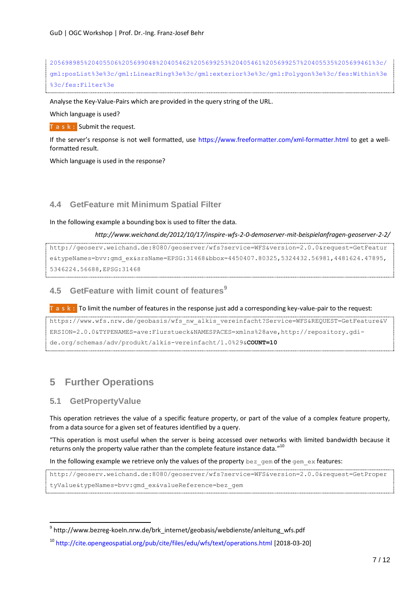```
205698985%20405506%205699048%20405462%205699253%20405461%205699257%20405535%205699461%3c/
gml:posList%3e%3c/gml:LinearRing%3e%3c/gml:exterior%3e%3c/gml:Polygon%3e%3c/fes:Within%3e
%3c/fes:Filter%3e
```
Analyse the Key-Value-Pairs which are provided in the query string of the URL.

Which language is used?

**T a s k :** Submit the request.

If the server's response is not well formatted, use <https://www.freeformatter.com/xml-formatter.html> to get a wellformatted result.

Which language is used in the response?

### **4.4 GetFeature mit Minimum Spatial Filter**

In the following example a bounding box is used to filter the data.

```
http://www.weichand.de/2012/10/17/inspire-wfs-2-0-demoserver-mit-beispielanfragen-geoserver-2-2/
```

```
http://geoserv.weichand.de:8080/geoserver/wfs?service=WFS&version=2.0.0&request=GetFeatur
e&typeNames=bvv:gmd_ex&srsName=EPSG:31468&bbox=4450407.80325,5324432.56981,4481624.47895,
5346224.56688,EPSG:31468
```
# **4.5 GetFeature with limit count of features<sup>9</sup>**

**T a s k :** To limit the number of features in the response just add a corresponding key-value-pair to the request:

```
https://www.wfs.nrw.de/geobasis/wfs_nw_alkis_vereinfacht?Service=WFS&REQUEST=GetFeature&V
ERSION=2.0.0&TYPENAMES=ave:Flurstueck&NAMESPACES=xmlns%28ave,http://repository.gdi-
de.org/schemas/adv/produkt/alkis-vereinfacht/1.0%29&COUNT=10
```
# **5 Further Operations**

### **5.1 GetPropertyValue**

 $\overline{a}$ 

This operation retrieves the value of a specific feature property, or part of the value of a complex feature property, from a data source for a given set of features identified by a query.

"This operation is most useful when the server is being accessed over networks with limited bandwidth because it returns only the property value rather than the complete feature instance data."<sup>10</sup>

In the following example we retrieve only the values of the property  $bez\_gem$  of the gem\_ex features:

http://geoserv.weichand.de:8080/geoserver/wfs?service=WFS&version=2.0.0&request=GetProper tyValue&typeNames=bvv:gmd\_ex&valueReference=bez\_gem

<sup>&</sup>lt;sup>9</sup> http://www.bezreg-koeln.nrw.de/brk\_internet/geobasis/webdienste/anleitung\_wfs.pdf

<sup>10</sup> <http://cite.opengeospatial.org/pub/cite/files/edu/wfs/text/operations.html> [2018-03-20]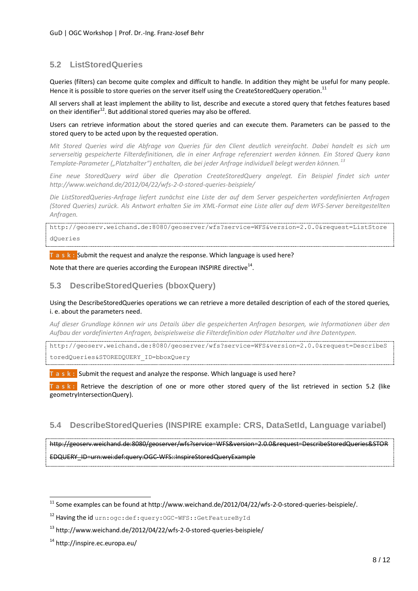# <span id="page-7-0"></span>**5.2 ListStoredQueries**

Queries (filters) can become quite complex and difficult to handle. In addition they might be useful for many people. Hence it is possible to store queries on the server itself using the CreateStoredQuery operation.  $^{11}$ 

All servers shall at least implement the ability to list, describe and execute a stored query that fetches features based on their identifier<sup>12</sup>. But additional stored queries may also be offered.

Users can retrieve information about the stored queries and can execute them. Parameters can be passed to the stored query to be acted upon by the requested operation.

*Mit Stored Queries wird die Abfrage von Queries für den Client deutlich vereinfacht. Dabei handelt es sich um serverseitig gespeicherte Filterdefinitionen, die in einer Anfrage referenziert werden können. Ein Stored Query kann Template-Parameter ("Platzhalter") enthalten, die bei jeder Anfrage individuell belegt werden können. <sup>13</sup>*

*Eine neue StoredQuery wird über die Operation CreateStoredQuery angelegt. Ein Beispiel findet sich unter http://www.weichand.de/2012/04/22/wfs-2-0-stored-queries-beispiele/*

*Die ListStoredQueries-Anfrage liefert zunächst eine Liste der auf dem Server gespeicherten vordefinierten Anfragen (Stored Queries) zurück. Als Antwort erhalten Sie im XML-Format eine Liste aller auf dem WFS-Server bereitgestellten Anfragen.*

http://geoserv.weichand.de:8080/geoserver/wfs?service=WFS&version=2.0.0&request=ListStore dQueries

**T a s k :** Submit the request and analyze the response. Which language is used here?

Note that there are queries according the European INSPIRE directive $^{14}$ .

### **5.3 DescribeStoredQueries (bboxQuery)**

Using the DescribeStoredQueries operations we can retrieve a more detailed description of each of the stored queries, i. e. about the parameters need.

*Auf dieser Grundlage können wir uns Details über die gespeicherten Anfragen besorgen, wie Informationen über den Aufbau der vordefinierten Anfragen, beispielsweise die Filterdefinition oder Platzhalter und ihre Datentypen.*

http://geoserv.weichand.de:8080/geoserver/wfs?service=WFS&version=2.0.0&request=DescribeS toredQueries&STOREDQUERY\_ID=bboxQuery

**T a s k :** Submit the request and analyze the response. Which language is used here?

**T a s k :** Retrieve the description of one or more other stored query of the list retrieved in section [5.2](#page-7-0) (like geometryIntersectionQuery).

# **5.4 DescribeStoredQueries (INSPIRE example: CRS, DataSetId, Language variabel)**

http://geoserv.weichand.de:8080/geoserver/wfs?service=WFS&version=2.0.0&request=DescribeStoredQueries&STOR EDQUERY\_ID=urn:wei:def:query:OGC-WFS::InspireStoredQueryExample

 $\overline{a}$ 

 $^{11}$  Some examples can be found at http://www.weichand.de/2012/04/22/wfs-2-0-stored-queries-beispiele/.

<sup>12</sup> Having the id urn: ogc: def: query: OGC-WFS: : GetFeatureById

<sup>13</sup> http://www.weichand.de/2012/04/22/wfs-2-0-stored-queries-beispiele/

<sup>14</sup> http://inspire.ec.europa.eu/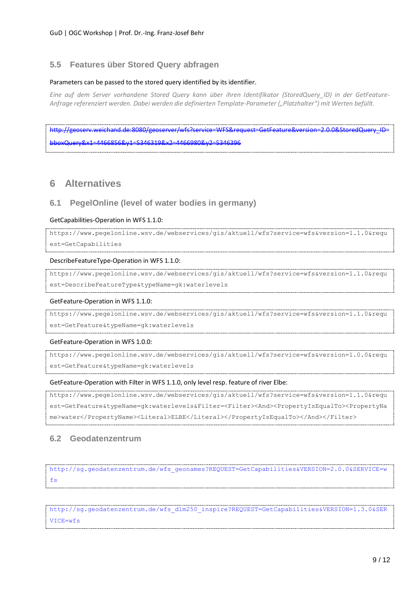### **5.5 Features über Stored Query abfragen**

#### Parameters can be passed to the stored query identified by its identifier.

*Eine auf dem Server vorhandene Stored Query kann über ihren Identifikator (StoredQuery\_ID) in der GetFeature-Anfrage referenziert werden. Dabei werden die definierten Template-Parameter ("Platzhalter") mit Werten befüllt.*

[http://geoserv.weichand.de:8080/geoserver/wfs?service=WFS&request=GetFeature&version=2.0.0&StoredQuery\\_ID=](http://geoserv.weichand.de:8080/geoserver/wfs?service=WFS&request=GetFeature&version=2.0.0&StoredQuery_ID=bboxQuery&x1=4466856&y1=5346319&x2=4466980&y2=5346396) [bboxQuery&x1=4466856&y1=5346319&x2=4466980&y2=5346396](http://geoserv.weichand.de:8080/geoserver/wfs?service=WFS&request=GetFeature&version=2.0.0&StoredQuery_ID=bboxQuery&x1=4466856&y1=5346319&x2=4466980&y2=5346396)

# **6 Alternatives**

### **6.1 PegelOnline (level of water bodies in germany)**

#### GetCapabilities-Operation in WFS 1.1.0:

```
https://www.pegelonline.wsv.de/webservices/gis/aktuell/wfs?service=wfs&version=1.1.0&requ
est=GetCapabilities
```
#### DescribeFeatureType-Operation in WFS 1.1.0:

https://www.pegelonline.wsv.de/webservices/gis/aktuell/wfs?service=wfs&version=1.1.0&requ est=DescribeFeatureType&typeName=gk:waterlevels

#### GetFeature-Operation in WFS 1.1.0:

https://www.pegelonline.wsv.de/webservices/gis/aktuell/wfs?service=wfs&version=1.1.0&requ est=GetFeature&typeName=gk:waterlevels

#### GetFeature-Operation in WFS 1.0.0:

https://www.pegelonline.wsv.de/webservices/gis/aktuell/wfs?service=wfs&version=1.0.0&requ est=GetFeature&typeName=gk:waterlevels

#### GetFeature-Operation with Filter in WFS 1.1.0, only level resp. feature of river Elbe:

```
https://www.pegelonline.wsv.de/webservices/gis/aktuell/wfs?service=wfs&version=1.1.0&requ
est=GetFeature&typeName=gk:waterlevels&Filter=<Filter><And><PropertyIsEqualTo><PropertyNa
me>water</PropertyName><Literal>ELBE</Literal></PropertyIsEqualTo></And></Filter>
```
### **6.2 Geodatenzentrum**

[http://sg.geodatenzentrum.de/wfs\\_geonames?REQUEST=GetCapabilities&VERSION=2.0.0&SERVICE=w](http://sg.geodatenzentrum.de/wfs_geonames?REQUEST=GetCapabilities&VERSION=2.0.0&SERVICE=wfs) [fs](http://sg.geodatenzentrum.de/wfs_geonames?REQUEST=GetCapabilities&VERSION=2.0.0&SERVICE=wfs)

[http://sg.geodatenzentrum.de/wfs\\_dlm250\\_inspire?REQUEST=GetCapabilities&VERSION=1.3.0&SER](http://sg.geodatenzentrum.de/wfs_dlm250_inspire?REQUEST=GetCapabilities&VERSION=1.3.0&SERVICE=wfs) [VICE=wfs](http://sg.geodatenzentrum.de/wfs_dlm250_inspire?REQUEST=GetCapabilities&VERSION=1.3.0&SERVICE=wfs)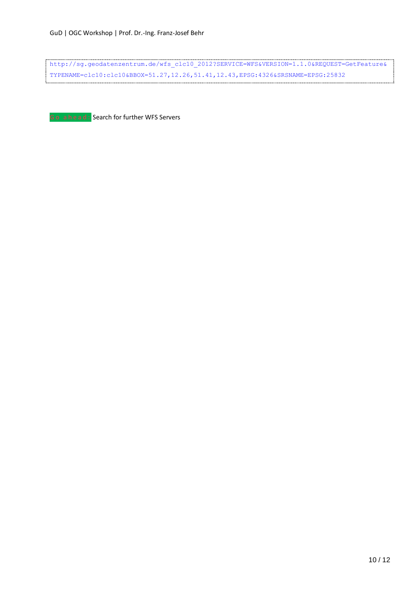[http://sg.geodatenzentrum.de/wfs\\_clc10\\_2012?SERVICE=WFS&VERSION=1.1.0&REQUEST=GetFeature&](http://sg.geodatenzentrum.de/wfs_clc10_2012?SERVICE=WFS&VERSION=1.1.0&REQUEST=GetFeature&TYPENAME=clc10:clc10&BBOX=51.27,12.26,51.41,12.43,EPSG:4326&SRSNAME=EPSG:25832) [TYPENAME=clc10:clc10&BBOX=51.27,12.26,51.41,12.43,EPSG:4326&SRSNAME=EPSG:25832](http://sg.geodatenzentrum.de/wfs_clc10_2012?SERVICE=WFS&VERSION=1.1.0&REQUEST=GetFeature&TYPENAME=clc10:clc10&BBOX=51.27,12.26,51.41,12.43,EPSG:4326&SRSNAME=EPSG:25832)

**G o a h e a d :** Search for further WFS Servers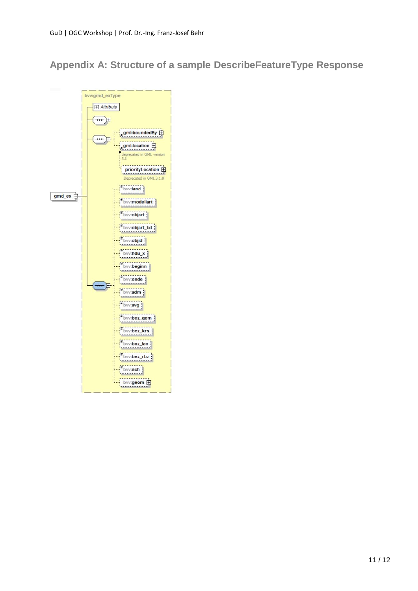# **Appendix A: Structure of a sample DescribeFeatureType Response**